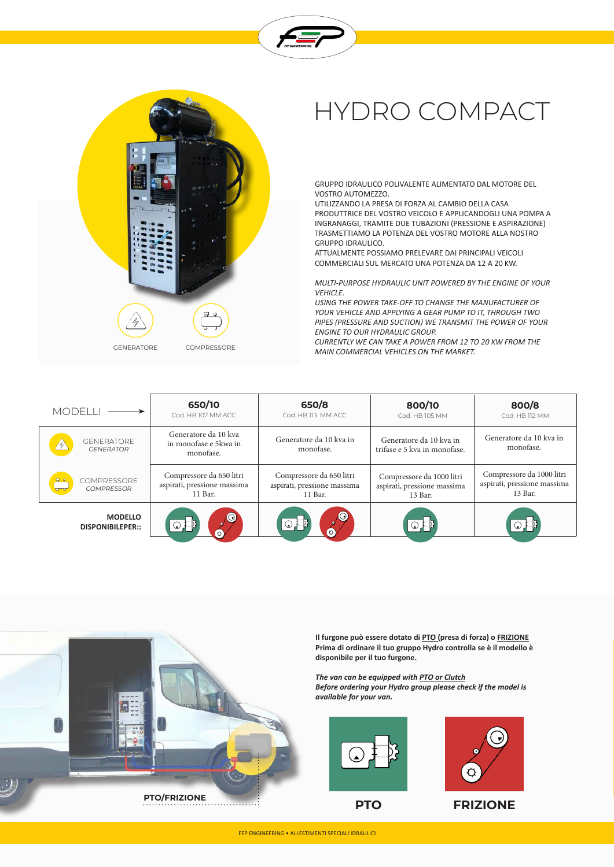



## HYDRO COMPACT

GRUPPO IDRAULICO POLIVALENTE ALIMENTATO DAL MOTORE DEL VOSTRO AUTOMEZZO.

UTILIZZANDO LA PRESA DI FORZA AL CAMBIO DELLA CASA PRODUTTRICE DEL VOSTRO VEICOLO E APPLICANDOGLI UNA POMPA A INGRANAGGI, TRAMITE DUE TUBAZIONI (PRESSIONE E ASPIRAZIONE) TRASMETTIAMO LA POTENZA DEL VOSTRO MOTORE ALLA NOSTRO GRUPPO IDRAULICO.

ATTUALMENTE POSSIAMO PRELEVARE DAI PRINCIPALI VEICOLI COMMERCIALI SUL MERCATO UNA POTENZA DA 12 A 20 KW.

*MULTI-PURPOSE HYDRAULIC UNIT POWERED BY THE ENGINE OF YOUR VEHICLE.*

*USING THE POWER TAKE-OFF TO CHANGE THE MANUFACTURER OF YOUR VEHICLE AND APPLYING A GEAR PUMP TO IT, THROUGH TWO PIPES (PRESSURE AND SUCTION) WE TRANSMIT THE POWER OF YOUR ENGINE TO OUR HYDRAULIC GROUP.*

*CURRENTLY WE CAN TAKE A POWER FROM 12 TO 20 KW FROM THE MAIN COMMERCIAL VEHICLES ON THE MARKET.*

| <b>MODELL</b>                             | 650/10<br>Cod. HB 107 MM ACC.                                      | 650/8<br>Cod. HB 113 MM ACC                                        | 800/10<br>Cod. HB 105 MM                                            | 800/8<br>Cod. HB 112 MM                                             |
|-------------------------------------------|--------------------------------------------------------------------|--------------------------------------------------------------------|---------------------------------------------------------------------|---------------------------------------------------------------------|
| <b>GENERATORE</b><br><b>GENERATOR</b>     | Generatore da 10 kva<br>in monofase e 5kwa in<br>monofase.         | Generatore da 10 kva in<br>monofase.                               | Generatore da 10 kva in<br>trifase e 5 kva in monofase.             | Generatore da 10 kva in<br>monofase.                                |
| <b>COMPRESSORE</b><br><b>COMPRESSOR</b>   | Compressore da 650 litri<br>aspirati, pressione massima<br>11 Bar. | Compressore da 650 litri<br>aspirati, pressione massima<br>11 Bar. | Compressore da 1000 litri<br>aspirati, pressione massima<br>13 Bar. | Compressore da 1000 litri<br>aspirati, pressione massima<br>13 Bar. |
| <b>MODELLO</b><br><b>DISPONIBILEPER::</b> | $\odot$<br>$\circ$                                                 | $\odot$<br>$\odot$ $\Box$<br>(ဝ)                                   |                                                                     |                                                                     |



**Il furgone può essere dotato di PTO (presa di forza) o FRIZIONE Prima di ordinare il tuo gruppo Hydro controlla se è il modello è disponibile per il tuo furgone.**

*The van can be equipped with PTO or Clutch Before ordering your Hydro group please check if the model is available for your van.*





**PTO FRIZIONE**